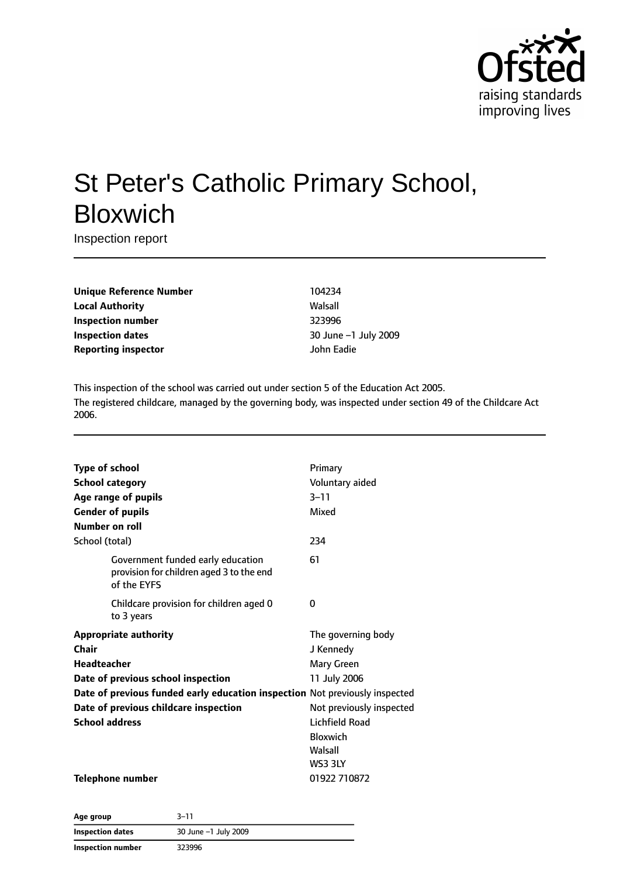

# St Peter's Catholic Primary School, Bloxwich

Inspection report

**Unique Reference Number** 104234 **Local Authority** Walsall **Inspection number** 323996 **Inspection dates** 30 June –1 July 2009 **Reporting inspector** John Eadie

This inspection of the school was carried out under section 5 of the Education Act 2005. The registered childcare, managed by the governing body, was inspected under section 49 of the Childcare Act 2006.

| <b>Type of school</b>                                                                        | Primary                  |
|----------------------------------------------------------------------------------------------|--------------------------|
|                                                                                              | Voluntary aided          |
| <b>School category</b>                                                                       |                          |
| Age range of pupils                                                                          | $3 - 11$                 |
| <b>Gender of pupils</b>                                                                      | Mixed                    |
| <b>Number on roll</b>                                                                        |                          |
| School (total)                                                                               | 234                      |
| Government funded early education<br>provision for children aged 3 to the end<br>of the EYFS | 61                       |
| Childcare provision for children aged 0<br>to 3 years                                        | 0                        |
| <b>Appropriate authority</b>                                                                 | The governing body       |
| Chair                                                                                        | J Kennedy                |
| <b>Headteacher</b>                                                                           | Mary Green               |
| Date of previous school inspection                                                           | 11 July 2006             |
| Date of previous funded early education inspection Not previously inspected                  |                          |
| Date of previous childcare inspection                                                        | Not previously inspected |
| <b>School address</b>                                                                        | Lichfield Road           |
|                                                                                              | <b>Bloxwich</b>          |
|                                                                                              | Walsall                  |
|                                                                                              | WS3 3LY                  |
| <b>Telephone number</b>                                                                      | 01922 710872             |

| Age group                | 3–11                 |  |
|--------------------------|----------------------|--|
| Inspection dates         | 30 June -1 July 2009 |  |
| <b>Inspection number</b> | 323996               |  |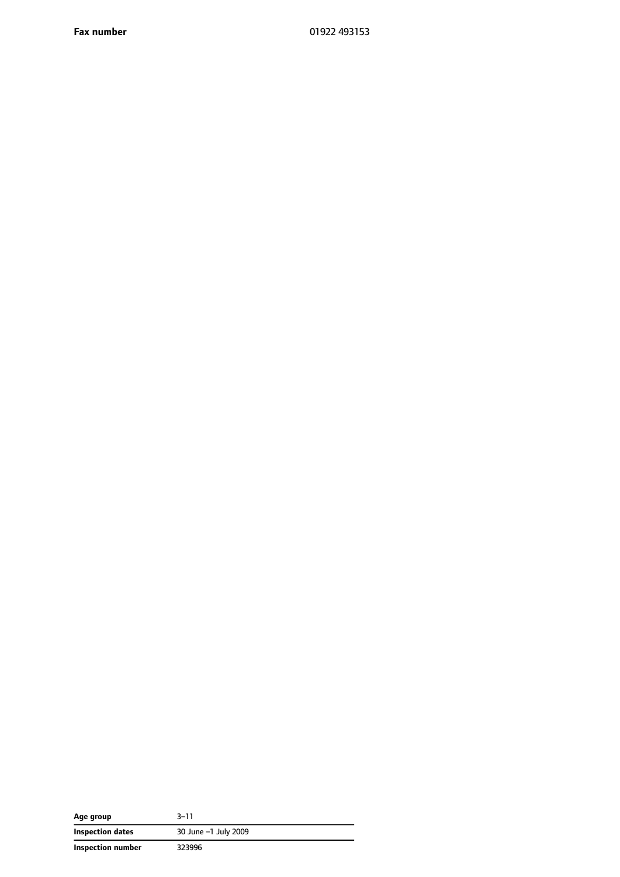**Fax number** 01922 493153

| Age group         | 3–11                 |
|-------------------|----------------------|
| Inspection dates  | 30 June -1 July 2009 |
| Inspection number | 323996               |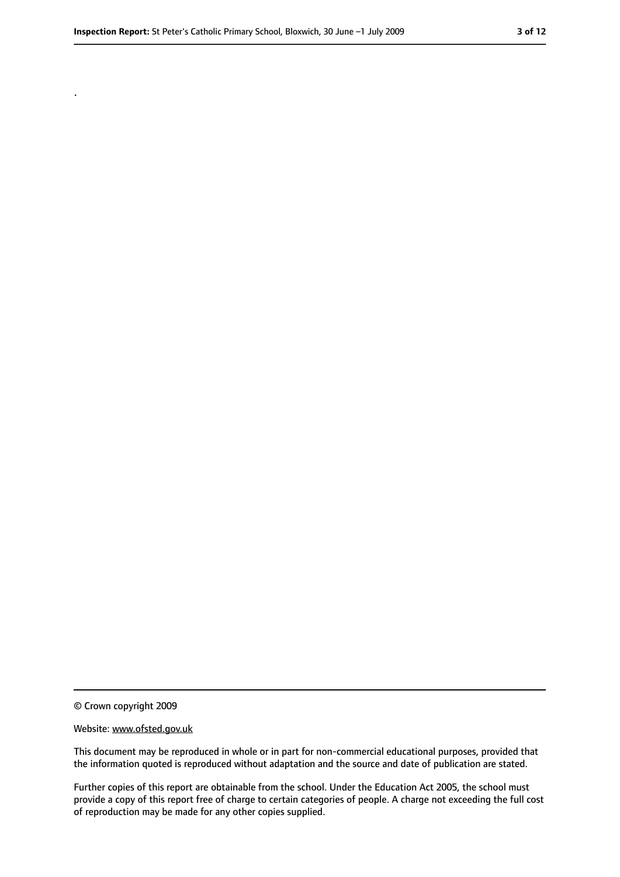.

<sup>©</sup> Crown copyright 2009

Website: www.ofsted.gov.uk

This document may be reproduced in whole or in part for non-commercial educational purposes, provided that the information quoted is reproduced without adaptation and the source and date of publication are stated.

Further copies of this report are obtainable from the school. Under the Education Act 2005, the school must provide a copy of this report free of charge to certain categories of people. A charge not exceeding the full cost of reproduction may be made for any other copies supplied.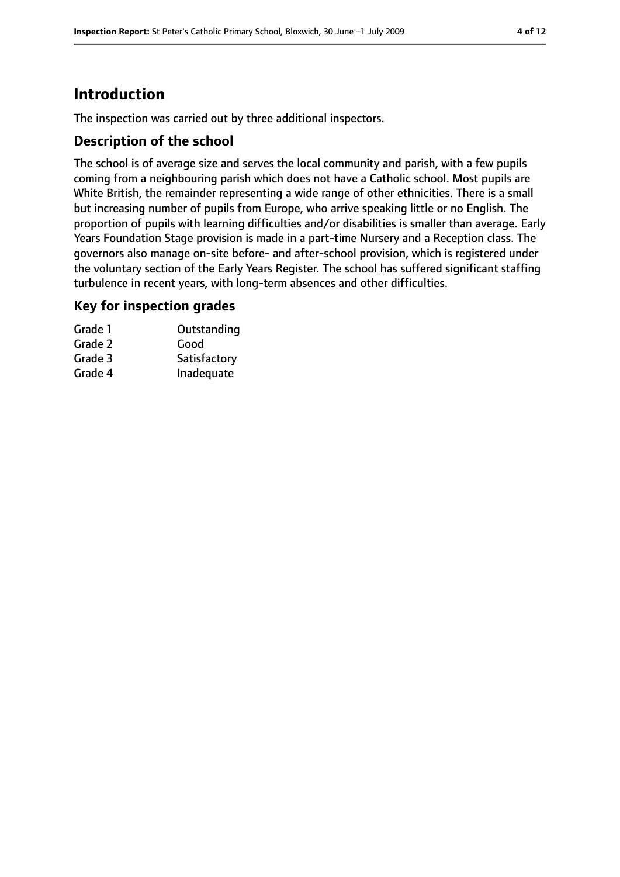# **Introduction**

The inspection was carried out by three additional inspectors.

#### **Description of the school**

The school is of average size and serves the local community and parish, with a few pupils coming from a neighbouring parish which does not have a Catholic school. Most pupils are White British, the remainder representing a wide range of other ethnicities. There is a small but increasing number of pupils from Europe, who arrive speaking little or no English. The proportion of pupils with learning difficulties and/or disabilities is smaller than average. Early Years Foundation Stage provision is made in a part-time Nursery and a Reception class. The governors also manage on-site before- and after-school provision, which is registered under the voluntary section of the Early Years Register. The school has suffered significant staffing turbulence in recent years, with long-term absences and other difficulties.

#### **Key for inspection grades**

| Grade 1 | Outstanding  |
|---------|--------------|
| Grade 2 | Good         |
| Grade 3 | Satisfactory |
| Grade 4 | Inadequate   |
|         |              |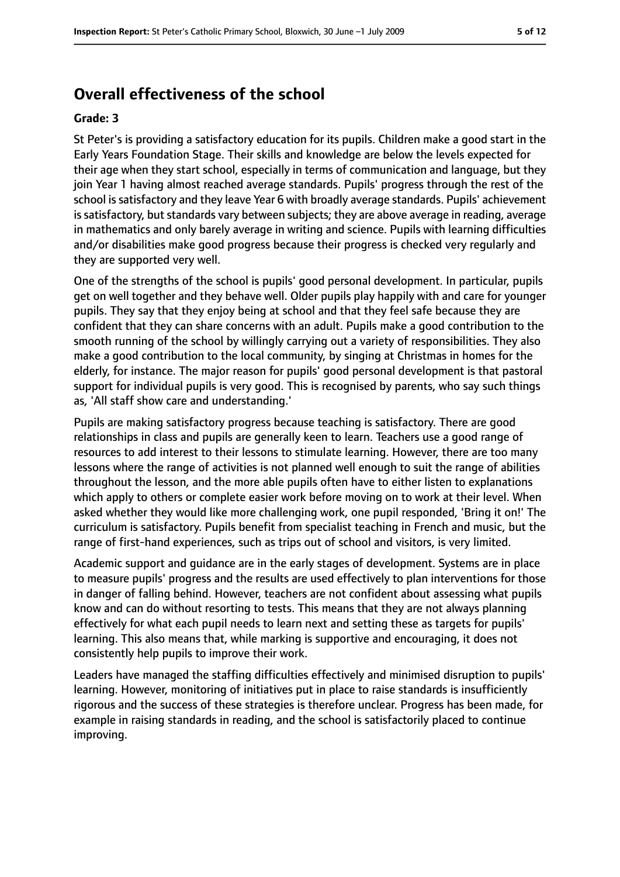#### **Overall effectiveness of the school**

#### **Grade: 3**

St Peter's is providing a satisfactory education for its pupils. Children make a good start in the Early Years Foundation Stage. Their skills and knowledge are below the levels expected for their age when they start school, especially in terms of communication and language, but they join Year 1 having almost reached average standards. Pupils' progress through the rest of the school is satisfactory and they leave Year 6 with broadly average standards. Pupils' achievement is satisfactory, but standards vary between subjects; they are above average in reading, average in mathematics and only barely average in writing and science. Pupils with learning difficulties and/or disabilities make good progress because their progress is checked very regularly and they are supported very well.

One of the strengths of the school is pupils' good personal development. In particular, pupils get on well together and they behave well. Older pupils play happily with and care for younger pupils. They say that they enjoy being at school and that they feel safe because they are confident that they can share concerns with an adult. Pupils make a good contribution to the smooth running of the school by willingly carrying out a variety of responsibilities. They also make a good contribution to the local community, by singing at Christmas in homes for the elderly, for instance. The major reason for pupils' good personal development is that pastoral support for individual pupils is very good. This is recognised by parents, who say such things as, 'All staff show care and understanding.'

Pupils are making satisfactory progress because teaching is satisfactory. There are good relationships in class and pupils are generally keen to learn. Teachers use a good range of resources to add interest to their lessons to stimulate learning. However, there are too many lessons where the range of activities is not planned well enough to suit the range of abilities throughout the lesson, and the more able pupils often have to either listen to explanations which apply to others or complete easier work before moving on to work at their level. When asked whether they would like more challenging work, one pupil responded, 'Bring it on!' The curriculum is satisfactory. Pupils benefit from specialist teaching in French and music, but the range of first-hand experiences, such as trips out of school and visitors, is very limited.

Academic support and guidance are in the early stages of development. Systems are in place to measure pupils' progress and the results are used effectively to plan interventions for those in danger of falling behind. However, teachers are not confident about assessing what pupils know and can do without resorting to tests. This means that they are not always planning effectively for what each pupil needs to learn next and setting these as targets for pupils' learning. This also means that, while marking is supportive and encouraging, it does not consistently help pupils to improve their work.

Leaders have managed the staffing difficulties effectively and minimised disruption to pupils' learning. However, monitoring of initiatives put in place to raise standards is insufficiently rigorous and the success of these strategies is therefore unclear. Progress has been made, for example in raising standards in reading, and the school is satisfactorily placed to continue improving.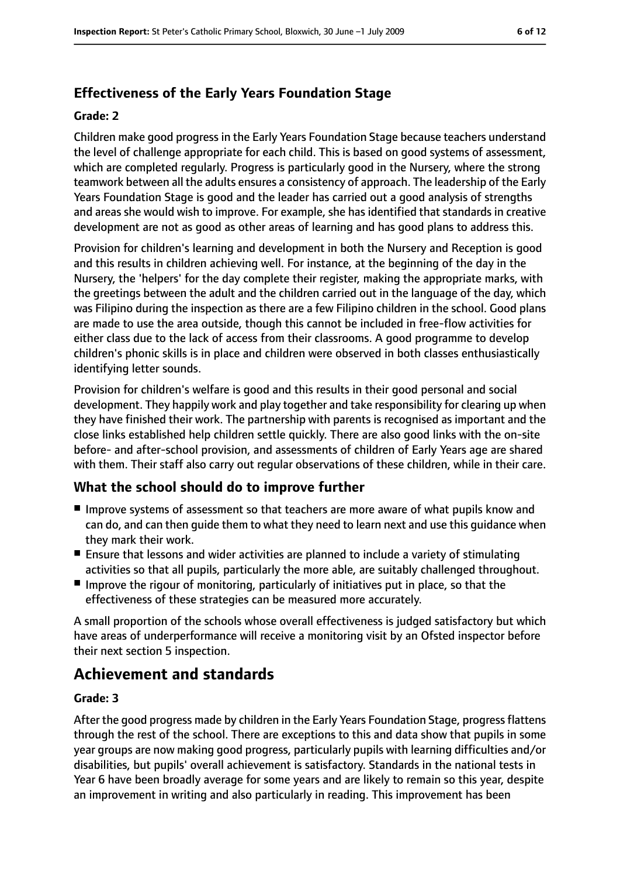### **Effectiveness of the Early Years Foundation Stage**

#### **Grade: 2**

Children make good progress in the Early Years Foundation Stage because teachers understand the level of challenge appropriate for each child. This is based on good systems of assessment, which are completed regularly. Progress is particularly good in the Nursery, where the strong teamwork between all the adults ensures a consistency of approach. The leadership of the Early Years Foundation Stage is good and the leader has carried out a good analysis of strengths and areas she would wish to improve. For example, she has identified that standards in creative development are not as good as other areas of learning and has good plans to address this.

Provision for children's learning and development in both the Nursery and Reception is good and this results in children achieving well. For instance, at the beginning of the day in the Nursery, the 'helpers' for the day complete their register, making the appropriate marks, with the greetings between the adult and the children carried out in the language of the day, which was Filipino during the inspection as there are a few Filipino children in the school. Good plans are made to use the area outside, though this cannot be included in free-flow activities for either class due to the lack of access from their classrooms. A good programme to develop children's phonic skills is in place and children were observed in both classes enthusiastically identifying letter sounds.

Provision for children's welfare is good and this results in their good personal and social development. They happily work and play together and take responsibility for clearing up when they have finished their work. The partnership with parents is recognised as important and the close links established help children settle quickly. There are also good links with the on-site before- and after-school provision, and assessments of children of Early Years age are shared with them. Their staff also carry out regular observations of these children, while in their care.

#### **What the school should do to improve further**

- Improve systems of assessment so that teachers are more aware of what pupils know and can do, and can then guide them to what they need to learn next and use this guidance when they mark their work.
- Ensure that lessons and wider activities are planned to include a variety of stimulating activities so that all pupils, particularly the more able, are suitably challenged throughout.
- Improve the rigour of monitoring, particularly of initiatives put in place, so that the effectiveness of these strategies can be measured more accurately.

A small proportion of the schools whose overall effectiveness is judged satisfactory but which have areas of underperformance will receive a monitoring visit by an Ofsted inspector before their next section 5 inspection.

# **Achievement and standards**

#### **Grade: 3**

After the good progress made by children in the Early Years Foundation Stage, progress flattens through the rest of the school. There are exceptions to this and data show that pupils in some year groups are now making good progress, particularly pupils with learning difficulties and/or disabilities, but pupils' overall achievement is satisfactory. Standards in the national tests in Year 6 have been broadly average for some years and are likely to remain so this year, despite an improvement in writing and also particularly in reading. This improvement has been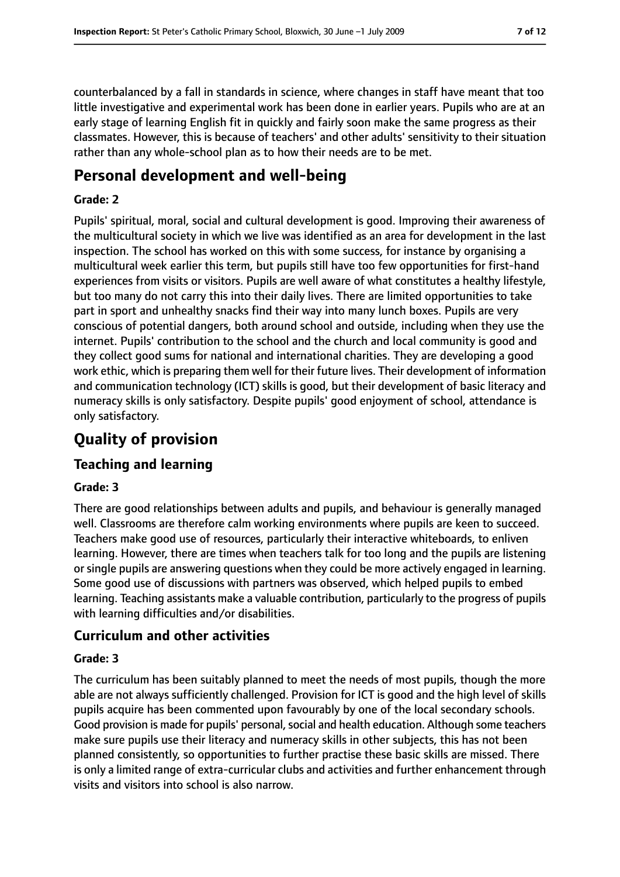counterbalanced by a fall in standards in science, where changes in staff have meant that too little investigative and experimental work has been done in earlier years. Pupils who are at an early stage of learning English fit in quickly and fairly soon make the same progress as their classmates. However, this is because of teachers' and other adults' sensitivity to their situation rather than any whole-school plan as to how their needs are to be met.

## **Personal development and well-being**

#### **Grade: 2**

Pupils' spiritual, moral, social and cultural development is good. Improving their awareness of the multicultural society in which we live was identified as an area for development in the last inspection. The school has worked on this with some success, for instance by organising a multicultural week earlier this term, but pupils still have too few opportunities for first-hand experiences from visits or visitors. Pupils are well aware of what constitutes a healthy lifestyle, but too many do not carry this into their daily lives. There are limited opportunities to take part in sport and unhealthy snacks find their way into many lunch boxes. Pupils are very conscious of potential dangers, both around school and outside, including when they use the internet. Pupils' contribution to the school and the church and local community is good and they collect good sums for national and international charities. They are developing a good work ethic, which is preparing them well for their future lives. Their development of information and communication technology (ICT) skills is good, but their development of basic literacy and numeracy skills is only satisfactory. Despite pupils' good enjoyment of school, attendance is only satisfactory.

# **Quality of provision**

### **Teaching and learning**

#### **Grade: 3**

There are good relationships between adults and pupils, and behaviour is generally managed well. Classrooms are therefore calm working environments where pupils are keen to succeed. Teachers make good use of resources, particularly their interactive whiteboards, to enliven learning. However, there are times when teachers talk for too long and the pupils are listening or single pupils are answering questions when they could be more actively engaged in learning. Some good use of discussions with partners was observed, which helped pupils to embed learning. Teaching assistants make a valuable contribution, particularly to the progress of pupils with learning difficulties and/or disabilities.

#### **Curriculum and other activities**

#### **Grade: 3**

The curriculum has been suitably planned to meet the needs of most pupils, though the more able are not always sufficiently challenged. Provision for ICT is good and the high level of skills pupils acquire has been commented upon favourably by one of the local secondary schools. Good provision is made for pupils' personal, social and health education. Although some teachers make sure pupils use their literacy and numeracy skills in other subjects, this has not been planned consistently, so opportunities to further practise these basic skills are missed. There is only a limited range of extra-curricular clubs and activities and further enhancement through visits and visitors into school is also narrow.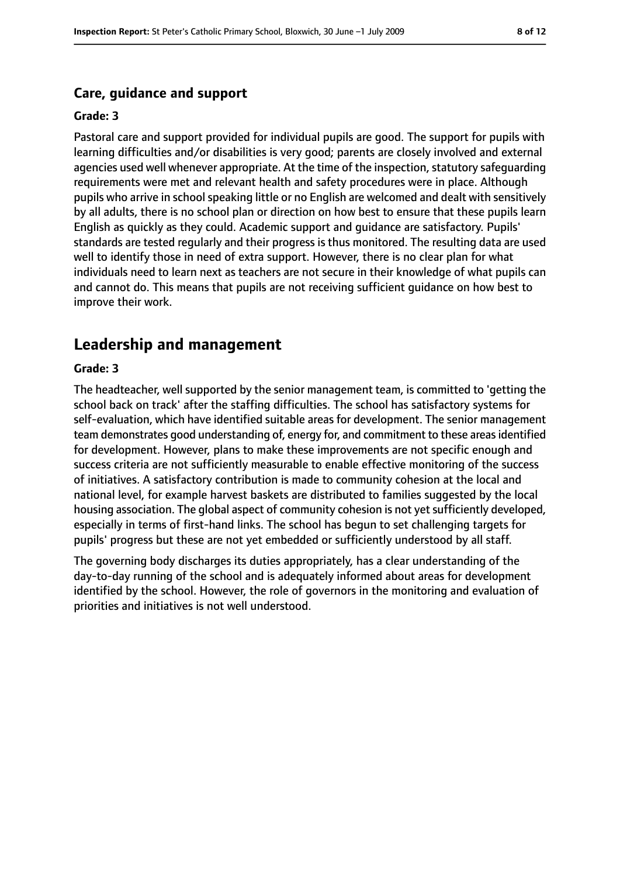#### **Care, guidance and support**

#### **Grade: 3**

Pastoral care and support provided for individual pupils are good. The support for pupils with learning difficulties and/or disabilities is very good; parents are closely involved and external agencies used well whenever appropriate. At the time of the inspection, statutory safequarding requirements were met and relevant health and safety procedures were in place. Although pupils who arrive in school speaking little or no English are welcomed and dealt with sensitively by all adults, there is no school plan or direction on how best to ensure that these pupils learn English as quickly as they could. Academic support and guidance are satisfactory. Pupils' standards are tested regularly and their progress is thus monitored. The resulting data are used well to identify those in need of extra support. However, there is no clear plan for what individuals need to learn next as teachers are not secure in their knowledge of what pupils can and cannot do. This means that pupils are not receiving sufficient guidance on how best to improve their work.

#### **Leadership and management**

#### **Grade: 3**

The headteacher, well supported by the senior management team, is committed to 'getting the school back on track' after the staffing difficulties. The school has satisfactory systems for self-evaluation, which have identified suitable areas for development. The senior management team demonstrates good understanding of, energy for, and commitment to these areasidentified for development. However, plans to make these improvements are not specific enough and success criteria are not sufficiently measurable to enable effective monitoring of the success of initiatives. A satisfactory contribution is made to community cohesion at the local and national level, for example harvest baskets are distributed to families suggested by the local housing association. The global aspect of community cohesion is not yet sufficiently developed, especially in terms of first-hand links. The school has begun to set challenging targets for pupils' progress but these are not yet embedded or sufficiently understood by all staff.

The governing body discharges its duties appropriately, has a clear understanding of the day-to-day running of the school and is adequately informed about areas for development identified by the school. However, the role of governors in the monitoring and evaluation of priorities and initiatives is not well understood.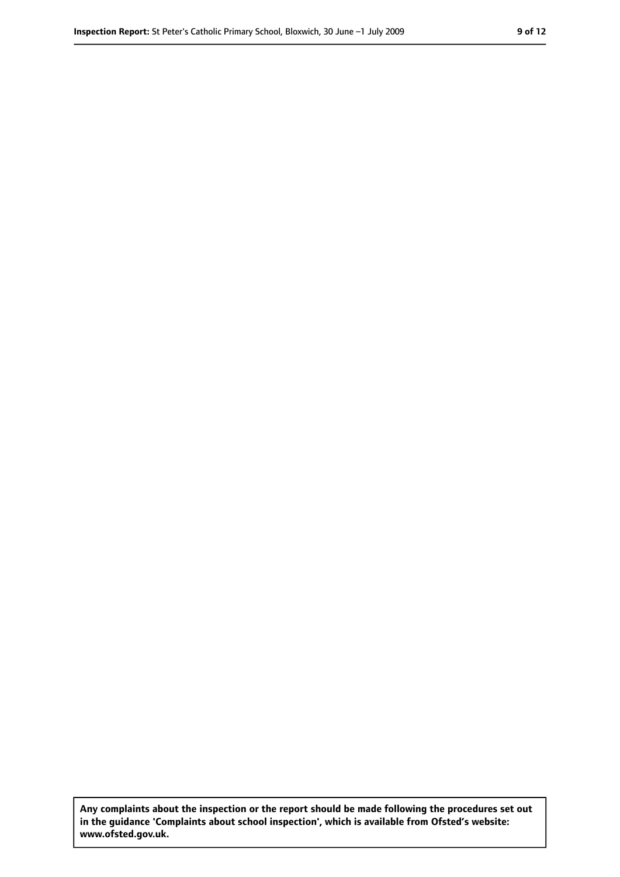**Any complaints about the inspection or the report should be made following the procedures set out in the guidance 'Complaints about school inspection', which is available from Ofsted's website: www.ofsted.gov.uk.**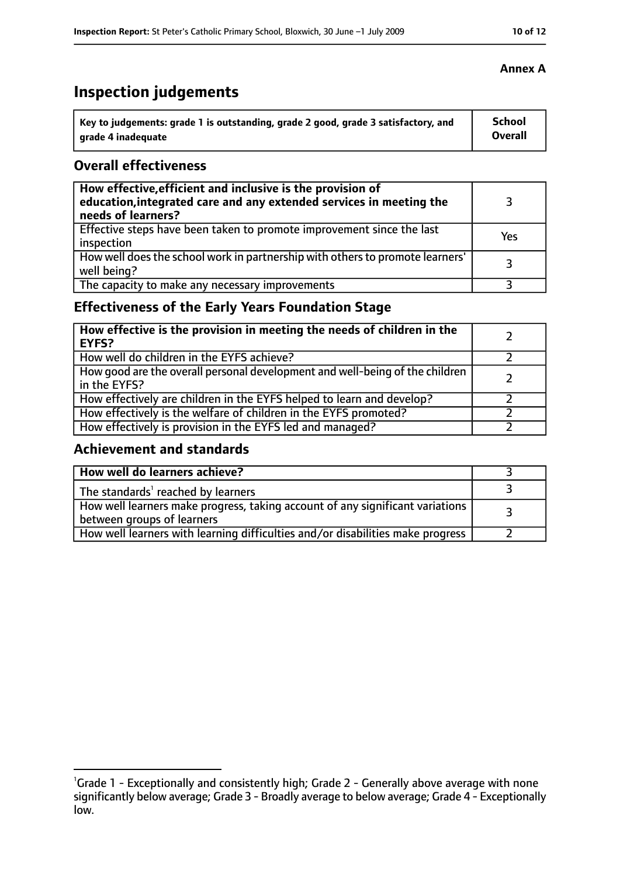# **Inspection judgements**

| Key to judgements: grade 1 is outstanding, grade 2 good, grade 3 satisfactory, and | <b>School</b>  |
|------------------------------------------------------------------------------------|----------------|
| arade 4 inadequate                                                                 | <b>Overall</b> |

#### **Overall effectiveness**

| How effective, efficient and inclusive is the provision of<br>education, integrated care and any extended services in meeting the<br>needs of learners? |     |
|---------------------------------------------------------------------------------------------------------------------------------------------------------|-----|
| Effective steps have been taken to promote improvement since the last<br>inspection                                                                     | Yes |
| How well does the school work in partnership with others to promote learners'<br>well being?                                                            | २   |
| The capacity to make any necessary improvements                                                                                                         |     |

### **Effectiveness of the Early Years Foundation Stage**

| How effective is the provision in meeting the needs of children in the<br><b>EYFS?</b>       |  |
|----------------------------------------------------------------------------------------------|--|
| How well do children in the EYFS achieve?                                                    |  |
| How good are the overall personal development and well-being of the children<br>in the EYFS? |  |
| How effectively are children in the EYFS helped to learn and develop?                        |  |
| How effectively is the welfare of children in the EYFS promoted?                             |  |
| How effectively is provision in the EYFS led and managed?                                    |  |

#### **Achievement and standards**

| How well do learners achieve?                                                                               |  |
|-------------------------------------------------------------------------------------------------------------|--|
| The standards <sup>1</sup> reached by learners                                                              |  |
| How well learners make progress, taking account of any significant variations<br>between groups of learners |  |
| How well learners with learning difficulties and/or disabilities make progress                              |  |

#### **Annex A**

<sup>&</sup>lt;sup>1</sup>Grade 1 - Exceptionally and consistently high; Grade 2 - Generally above average with none significantly below average; Grade 3 - Broadly average to below average; Grade 4 - Exceptionally low.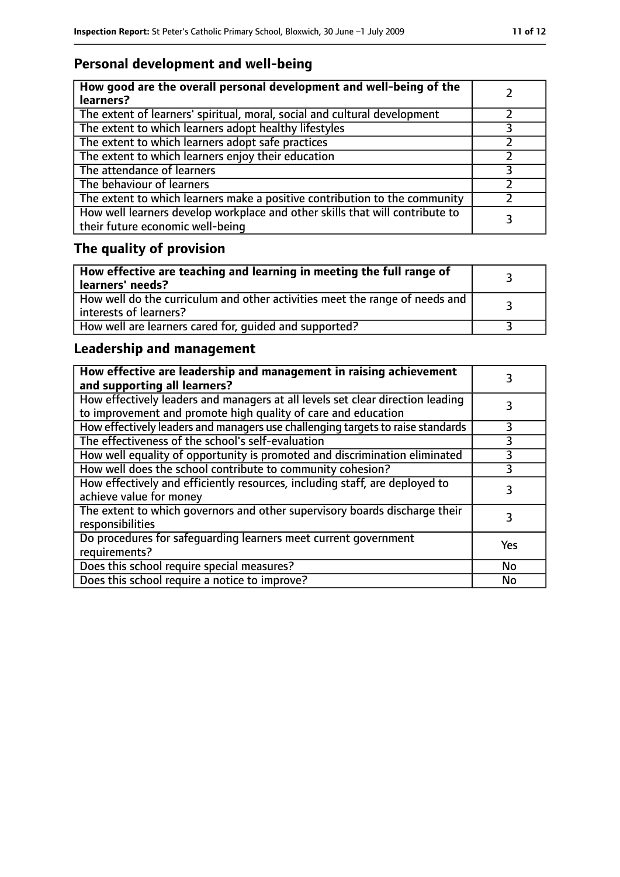### **Personal development and well-being**

| How good are the overall personal development and well-being of the<br>learners?                                 |  |
|------------------------------------------------------------------------------------------------------------------|--|
| The extent of learners' spiritual, moral, social and cultural development                                        |  |
| The extent to which learners adopt healthy lifestyles                                                            |  |
| The extent to which learners adopt safe practices                                                                |  |
| The extent to which learners enjoy their education                                                               |  |
| The attendance of learners                                                                                       |  |
| The behaviour of learners                                                                                        |  |
| The extent to which learners make a positive contribution to the community                                       |  |
| How well learners develop workplace and other skills that will contribute to<br>their future economic well-being |  |

# **The quality of provision**

| How effective are teaching and learning in meeting the full range of<br>learners' needs?              |  |
|-------------------------------------------------------------------------------------------------------|--|
| How well do the curriculum and other activities meet the range of needs and<br>interests of learners? |  |
| How well are learners cared for, quided and supported?                                                |  |

### **Leadership and management**

| How effective are leadership and management in raising achievement<br>and supporting all learners?                                              |     |
|-------------------------------------------------------------------------------------------------------------------------------------------------|-----|
| How effectively leaders and managers at all levels set clear direction leading<br>to improvement and promote high quality of care and education |     |
| How effectively leaders and managers use challenging targets to raise standards                                                                 | 3   |
| The effectiveness of the school's self-evaluation                                                                                               | 3   |
| How well equality of opportunity is promoted and discrimination eliminated                                                                      | 3   |
| How well does the school contribute to community cohesion?                                                                                      | 3   |
| How effectively and efficiently resources, including staff, are deployed to<br>achieve value for money                                          |     |
| The extent to which governors and other supervisory boards discharge their<br>responsibilities                                                  | 3   |
| Do procedures for safequarding learners meet current government<br>requirements?                                                                | Yes |
| Does this school require special measures?                                                                                                      | No  |
| Does this school require a notice to improve?                                                                                                   | No  |